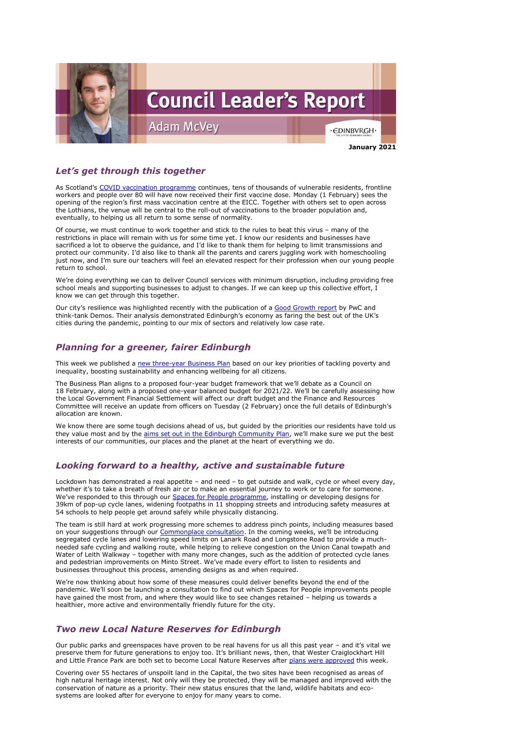

# *Let's get through this together*

As Scotland's [COVID vaccination programme](https://www.gov.scot/collections/coronavirus-covid-19-vaccination/) continues, tens of thousands of vulnerable residents, frontline workers and people over 80 will have now received their first vaccine dose. Monday (1 February) sees the opening of the region's first mass vaccination centre at the EICC. Together with others set to open across the Lothians, the venue will be central to the roll-out of vaccinations to the broader population and, eventually, to helping us all return to some sense of normality.

Of course, we must continue to work together and stick to the rules to beat this virus – many of the restrictions in place will remain with us for some time yet. I know our residents and businesses have sacrificed a lot to observe the guidance, and I'd like to thank them for helping to limit transmissions and protect our community. I'd also like to thank all the parents and carers juggling work with homeschooling just now, and I'm sure our teachers will feel an elevated respect for their profession when our young people return to school.

Our city's resilience was highlighted recently with the publication of a [Good Growth report](https://www.insider.co.uk/news/edinburgh-uk-city-faced-least-23349811#:~:text=The%20latest%20Demos%2DPwC%20Good,and%20relatively%20low%20case%20rate.) by PwC and think-tank Demos. Their analysis demonstrated Edinburgh's economy as faring the best out of the UK's cities during the pandemic, pointing to our mix of sectors and relatively low case rate.

This week we published a [new three-year Business Plan](https://www.edinburgh.gov.uk/news/article/13090/new-business-plan-looks-to-the-future-amid-ongoing-covid-uncertainty) based on our key priorities of tackling poverty and inequality, boosting sustainability and enhancing wellbeing for all citizens.

We're doing everything we can to deliver Council services with minimum disruption, including providing free school meals and supporting businesses to adjust to changes. If we can keep up this collective effort, I know we can get through this together.

Lockdown has demonstrated a real appetite – and need – to get outside and walk, cycle or wheel every day, whether it's to take a breath of fresh air or to make an essential journey to work or to care for someone. We've responded to this through our **Spaces for People programme**, installing or developing designs for 39km of pop-up cycle lanes, widening footpaths in 11 shopping streets and introducing safety measures at 54 schools to help people get around safely while physically distancing.

## *Planning for a greener, fairer Edinburgh*

The Business Plan aligns to a proposed four-year budget framework that we'll debate as a Council on 18 February, along with a proposed one-year balanced budget for 2021/22. We'll be carefully assessing how the Local Government Financial Settlement will affect our draft budget and the Finance and Resources Committee will receive an update from officers on Tuesday (2 February) once the full details of Edinburgh's allocation are known.

Our public parks and greenspaces have proven to be real havens for us all this past year – and it's vital we preserve them for future generations to enjoy too. It's brilliant news, then, that Wester Craiglockhart Hill and Little France Park are both set to become Local Nature Reserves after [plans were approved](https://www.edinburgh.gov.uk/news/article/13087/wester-craiglockhart-hill-and-little-france-park-to-become-local-nature-reserves) this week.

We know there are some tough decisions ahead of us, but guided by the priorities our residents have told us they value most and by the [aims set out in the Edinburgh Community Plan,](https://www.edinburghcompact.org.uk/who-we-are/edinburghs-community-plan/) we'll make sure we put the best interests of our communities, our places and the planet at the heart of everything we do.

## *Looking forward to a healthy, active and sustainable future*

The team is still hard at work progressing more schemes to address pinch points, including measures based on your suggestions through our [Commonplace consultation](https://edinburghspacesforpeople.commonplace.is/comments). In the coming weeks, we'll be introducing segregated cycle lanes and lowering speed limits on Lanark Road and Longstone Road to provide a muchneeded safe cycling and walking route, while helping to relieve congestion on the Union Canal towpath and Water of Leith Walkway – together with many more changes, such as the addition of protected cycle lanes

and pedestrian improvements on Minto Street. We've made every effort to listen to residents and businesses throughout this process, amending designs as and when required.

We're now thinking about how some of these measures could deliver benefits beyond the end of the pandemic. We'll soon be launching a consultation to find out which Spaces for People improvements people have gained the most from, and where they would like to see changes retained - helping us towards a healthier, more active and environmentally friendly future for the city.

#### *Two new Local Nature Reserves for Edinburgh*

Covering over 55 hectares of unspoilt land in the Capital, the two sites have been recognised as areas of high natural heritage interest. Not only will they be protected, they will be managed and improved with the conservation of nature as a priority. Their new status ensures that the land, wildlife habitats and ecosystems are looked after for everyone to enjoy for many years to come.